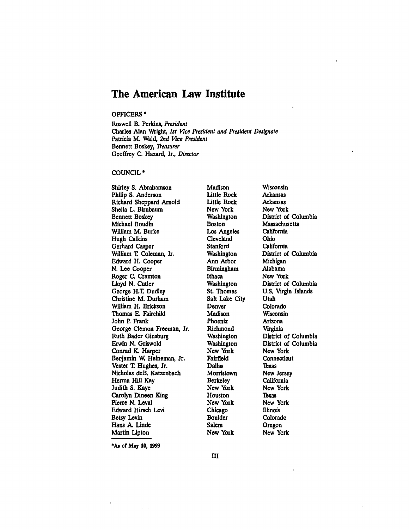# **The American Law Institute**

### OFFICERS **\***

Roswell B. Perkins, President Charles Alan Wright, *1st* Vice President and President Designate Patricia M. Wald, 2nd Vice President Bennett Boskey, 7easurer Geoffrey **C.** Hazard, Jr., Director

#### **COUNCIL \***

Shirley **S.** Abrahamson Philip **S.** Anderson Richard Sheppard Arnold Sheila **L.** Birnbaum Bennett Boskey Michael Boudin William M. Burke Hugh Calkins Gerhard Casper William **T.** Coleman, Jr. Edward H. Cooper **N.** Lee Cooper Roger **C.** Cramton Lioyd N. Cutler George H.T. Dudley Christine M. Durham William H. Erickson Thomas **E.** Fairchild John **E** Frank George Clemon Freeman, Jr. Ruth Bader Ginsburg Erwin **N.** Griswold Conrad **L** Harper Berjamin **W.** Heineman, Jr. Vester **T.** Hughes, Jr. Nicholas deB. Katzenbach Herma Hill Kay Judith **S.** Kaye Carolyn Dineen King Pierre **N.** Leval Edward Hirsch Levi Betsy Levin Hans **A.** Linde Martin Lipton

Madison Little Rock Little Rock **New** York Washington Boston Los Angeles Cleveland **Stanford** Washington Ann Arbor Birmingham Ithaca Washington **St.** Thomas Salt Lake City Denver Madison Phoenix **Richmond** Washington Washington New York Fairfield Dallas Morristown Berkeley New York **Houston** New York Chicago Boulder Salem New York

Wisconsin Arkansas Arkansas New York District of Columbia Massachusetts California Ohio California District of Columbia Michigan Alabama New York District of Columbia **U.S.** Virgin'Islands Utah Colorado Wisconsin Arizona Virginia District of Columbia District of Columbia New York **Connecticut** Tbxas New Jersey California New York **Texas** New York Illinois Colorado Oregon New York

**\*As of May 10, 1993**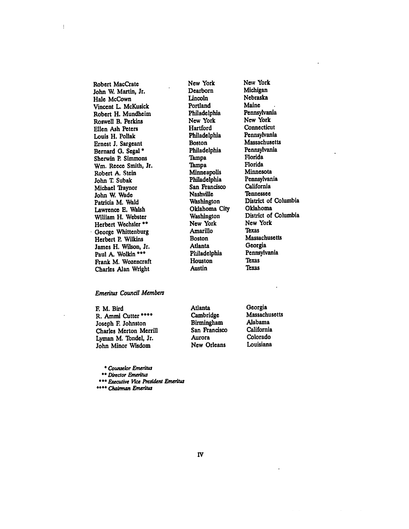Robert MacCrate John **W.** Martin, Jr. Hale McCown Vincent L. McKusick Robert H. Mundheim Roswell B. Perkins Ellen Ash Peters Louis H. Pollak Ernest **J.** Sargeant Bernard **G.** Segal **\*** Sherwin P. Simmons **Wm.** Reece Smith, Jr. Robert **A.** Stein John **T.** Subak Michael Traynor John W, Wade Patricia M. Wald Lawrence **E.** Walsh William H. Webster Herbert Wechsler **\*\*** George Whittenburg Herbert P. Wilkins James H. Wilson, Jr. Paul **A.** Wolkin **"\*\*** Frank M. Wozencraft Charles Alan Wright

 $\overline{1}$ 

Emeritus Council Members

R M. Bird R. Ammi Cutter **"** Joseph F. Johnston Charles Merton Merrill Lyman M. Ibndel, Jr. John Minor Wisdom

Atlanta Cambridge Birmingham San Francisco Aurora New Orleans

New York Dearborn Lincoln Portland

New York **Hartford** 

Boston

**Tampa** Tampa

Nashville **Washington** 

Washington New York Amarillo **Boston** Atlanta

Houston Austin

> Georgia Massachusetts Alabama California Colorado Louisiana

**\*** Counselor Emeritus

*"* Director **Emeritus**

\*\*\* Executive Vice President Emeritus

\*\*\*\* Chairman Emeritus

Philadelphia Philadelphia Philadelphia Minneapolis Philadelphia San Francisco Oklahoma City Philadelphia New York Michigan Nebraska Maine Pennsylvania New York **Connecticut** Pennsylvania Massachusetts Pennsylvania Florida Florida Minnesota Pennsylvania California Tennessee District of Columbia Oklahoma District of Columbia New York Texas Massachusetts Georgia Pennsylvania **Texas Texas**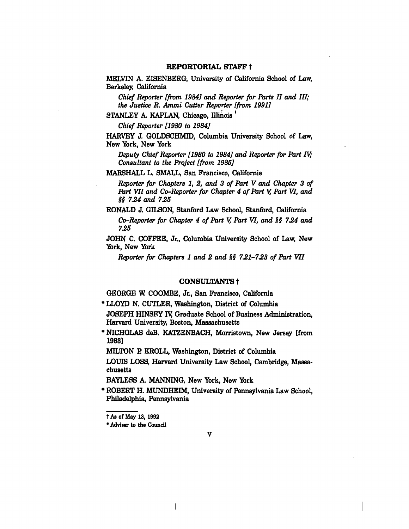### REPORTORIAL **STAFF** t

**MELVIN A. EISENBERG,** University of California School of Law, Berkeley, California

*Chief Reporter [from 1984] and Reporter for Parts II and III; the Justice R. Ammi Cutter Reporter [from 1991]*

STANLEY A. KAPLAN, Chicago, Illinois

*Chief Reporter [1980 to 19841*

HARVEY **J. GOLDSCHMID,** Columbia University School of Law, New York, New York

*Deputy Chief Reporter [1980 to 19841 and Reporter for Part IV Consultant to the Project [from 19851*

MARSHALL L. **SMALL,** San Francisco, California

*Reporter for Chapters 1, 2, and 3 of Part V and Chapter 3 of Part VII and Co-Reporter for Chapter 4 of Part V, Part VI, and §f 7.24 and 7.25*

RONALD **J.** GILSON, Stanford Law School, Stanford, California

*Co-Reporter for Chapter 4 of Part V, Part VI, and f§ 7.24 and 7.25*

**JOHN C. COFFEE,** Jr., Columbia University School of Law, New York, New York

*Reporter for Chapters 1 and 2 and §f 7.21-7.23 of Part VII*

#### **CONSULTANTS** t

**GEORGE** W **COOMBE,** Jr., San Francisco, California

- **\*** LLOYD **N. CUTLER,** Washington, District of Columbia **JOSEPH** HINSEY I, Graduate School of Business Administration, Harvard University, Boston, Massachusetts
- **\* NICHOLAS** deB. KATZENBACH, Morristown, New Jersey [from **1983]**

MILTON **P** KROLL, Washington, District of Columbia

LOUIS **LOSS,** Harvard University Law School, Cambridge, Massachusetts

**BAYLESS A. MANNING,** New York, New York

**\*** ROBERT H. **MUNDHEIM,** University of Pennsylvania Law School, Philadelphia, Pennsylvania

t **As** of May **13, 1992**

<sup>\*</sup>Adviser to the Council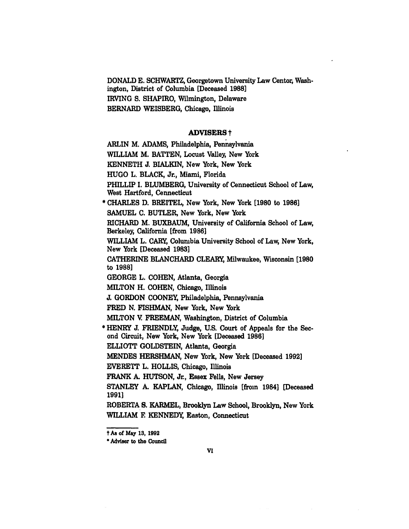**DONALD E. SCHWARTZ, Georgetown University Law Centor, Wash**ington, District of Columbia [Deceased **1988]** IRVING **S.** SHAPIRO, Wilmington, Delaware BERNARD WEISBERG, Chicago, Illinois

## ADVISERS t

**ARLIN** M. **ADAMS,** Philadelphia, Pennsylvania WILLIAM M. **BATTEN,** Locust Valley, New York **KENNETH J.** BIALKIN, New York, New York **HUGO** L. BLACK, Jr., Miami, Florida PHILLIP I. BLUMBERG, University of Cennecticut School of Law, West Hartford, Connecticut **\*** CHARLES **D.** BREITEL, New York, New York **[1980** to **19861 SAMUEL C.** BUTLER, New York, New York RICHARD M. **BUXBAUM,** University of California School of Law, Berkeley, California [from **1986]** WILLIAM L. CARY, Columbia University School of Law, New York, New York [Deceased **1983] CATHERINE** BLANCHARD CLEARY, Milwaukee, Wisconsin **[1980** to **1988]** GEORGE L. **COHEN,** Atlanta, Georgia **MILTON** H. COHEN, Chicago, Illinois **J.** GORDON **COONEY,** Philadelphia, Pennsylvania FRED **N.** FISHMAN, New York, New York **MILTON** V **FREEMAN,** Washington, District of Columbia **\* HENRY J.** FRIENDLY, Judge, **U.S.** Court of Appeals for the Second Circuit, New York, **New** York [Deceased **1986]** ELLIOTT **GOLDSTEIN,** Atlanta, Georgia **MENDES HERSHMAN,** New York, **New** York [Deceased **1992]** EVERETT L. HOLLIS, **Chicago,** Illinois FRANK **A. HUTSON,** Jr., Essex Fells, New Jersey **STANLEY A. KAPLAN,** Chicago, Illinois [from 1984] [Deceased **1991]** ROBERTA **S.** KARMEL, Brooklyn Law School, Brooklyn, New York WILLIAM **E KENNEDY,** Easton, Connecticut

t **As** of May **13, 1992**

**<sup>\*</sup> Adviser** to the Council